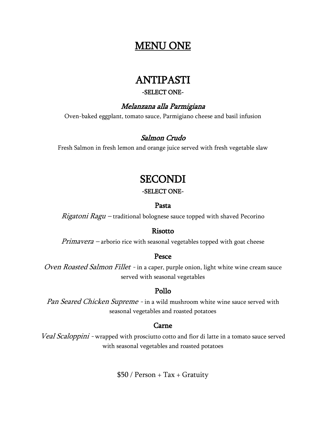## MENU ONE

## ANTIPASTI

#### -SELECT ONE-

## Melanzana alla Parmigiana

Oven-baked eggplant, tomato sauce, Parmigiano cheese and basil infusion

### Salmon Crudo

Fresh Salmon in fresh lemon and orange juice served with fresh vegetable slaw

## **SECONDI**

### -SELECT ONE-

#### Pasta

Rigatoni Ragu - traditional bolognese sauce topped with shaved Pecorino

#### Risotto

Primavera – arborio rice with seasonal vegetables topped with goat cheese

#### Pesce

Oven Roasted Salmon Fillet - in a caper, purple onion, light white wine cream sauce served with seasonal vegetables

## Pollo

Pan Seared Chicken Supreme - in a wild mushroom white wine sauce served with seasonal vegetables and roasted potatoes

### Carne

Veal Scaloppini - wrapped with prosciutto cotto and fior di latte in a tomato sauce served with seasonal vegetables and roasted potatoes

 $$50 / Person + Tax + Gravity$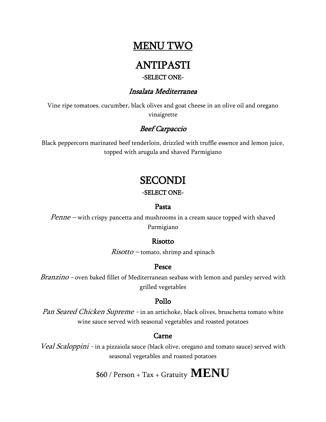## **MENU TWO**

## ANTIPASTI

### -SELECT ONE-

### Insalata Mediterranea

Vine ripe tomatoes, cucumber, black olives and goat cheese in an olive oil and oregano vinaigrette

## Beef Carpaccio

Black peppercorn marinated beef tenderloin, drizzled with truffle essence and lemon juice, topped with arugula and shaved Parmigiano

## **SECONDI**

#### -SELECT ONE-

#### Pasta

Penne – with crispy pancetta and mushrooms in a cream sauce topped with shaved Parmigiano

### Risotto

 $Risotto$  – tomato, shrimp and spinach

## Pesce

Branzino - oven baked fillet of Mediterranean seabass with lemon and parsley served with grilled vegetables

## Pollo

Pan Seared Chicken Supreme - in an artichoke, black olives, bruschetta tomato white wine sauce served with seasonal vegetables and roasted potatoes

## Carne

Veal Scaloppini - in a pizzaiola sauce (black olive, oregano and tomato sauce) served with seasonal vegetables and roasted potatoes

\$60 / Person + Tax + Gratuity **MENU**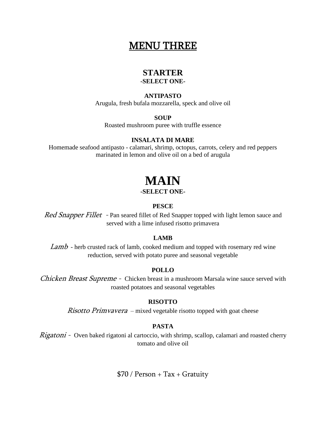## MENU THREE

## **STARTER**

**-SELECT ONE-**

#### **ANTIPASTO**

Arugula, fresh bufala mozzarella, speck and olive oil

#### **SOUP**

Roasted mushroom puree with truffle essence

#### **INSALATA DI MARE**

Homemade seafood antipasto - calamari, shrimp, octopus, carrots, celery and red peppers marinated in lemon and olive oil on a bed of arugula

# **MAIN**

#### **-SELECT ONE-**

#### **PESCE**

*Red Snapper Fillet* - Pan seared fillet of Red Snapper topped with light lemon sauce and served with a lime infused risotto primavera

#### **LAMB**

 $Lamb$  - herb crusted rack of lamb, cooked medium and topped with rosemary red wine reduction, served with potato puree and seasonal vegetable

#### **POLLO**

Chicken Breast Supreme - Chicken breast in a mushroom Marsala wine sauce served with roasted potatoes and seasonal vegetables

#### **RISOTTO**

*Risotto Primvavera* – mixed vegetable risotto topped with goat cheese

#### **PASTA**

Rigatoni - Oven baked rigatoni al cartoccio, with shrimp, scallop, calamari and roasted cherry tomato and olive oil

 $$70 / Person + Tax + Gravity$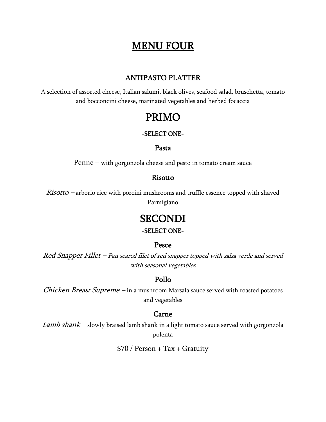## MENU FOUR

### ANTIPASTO PLATTER

A selection of assorted cheese, Italian salumi, black olives, seafood salad, bruschetta, tomato and bocconcini cheese, marinated vegetables and herbed focaccia

## PRIMO

#### -SELECT ONE-

#### Pasta

Penne – with gorgonzola cheese and pesto in tomato cream sauce

#### Risotto

 $Risotto$  – arborio rice with porcini mushrooms and truffle essence topped with shaved Parmigiano

## **SECONDI**

### -SELECT ONE-

#### Pesce

Red Snapper Fillet – Pan seared filet of red snapper topped with salsa verde and served with seasonal vegetables

### Pollo

Chicken Breast Supreme - in a mushroom Marsala sauce served with roasted potatoes and vegetables

#### Carne

Lamb shan $k$  – slowly braised lamb shank in a light tomato sauce served with gorgonzola polenta

 $$70 / Person + Tax + Gravity$